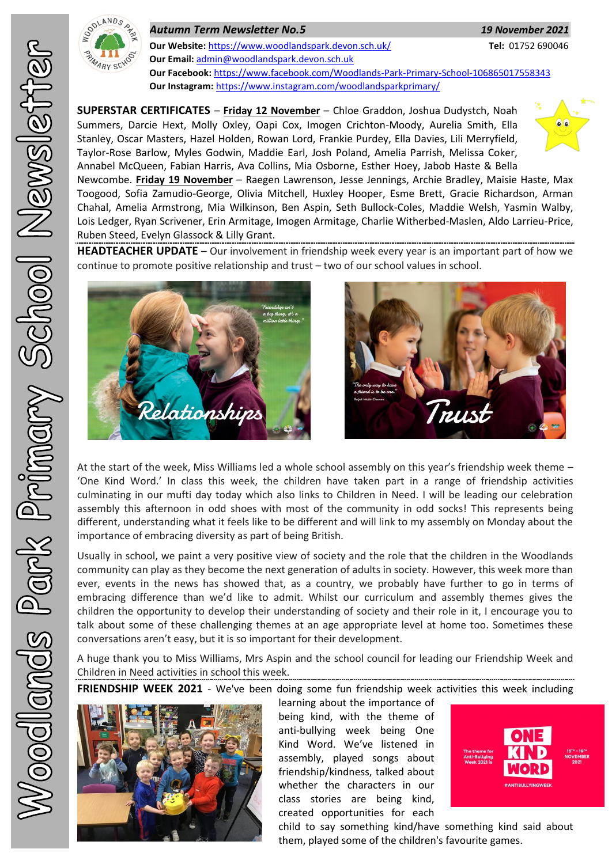

*Autumn Term Newsletter No.5 19 November 2021* **Our Website:** <https://www.woodlandspark.devon.sch.uk/> **Tel:** 01752 690046 **Our Email:** [admin@woodlandspark.devon.sch.uk](mailto:admin@woodlandspark.devon.sch.uk) **Our Facebook:** <https://www.facebook.com/Woodlands-Park-Primary-School-106865017558343> **Our Instagram:** <https://www.instagram.com/woodlandsparkprimary/>

**SUPERSTAR CERTIFICATES** – **Friday 12 November** – Chloe Graddon, Joshua Dudystch, Noah Summers, Darcie Hext, Molly Oxley, Oapi Cox, Imogen Crichton-Moody, Aurelia Smith, Ella Stanley, Oscar Masters, Hazel Holden, Rowan Lord, Frankie Purdey, Ella Davies, Lili Merryfield, Taylor-Rose Barlow, Myles Godwin, Maddie Earl, Josh Poland, Amelia Parrish, Melissa Coker, Annabel McQueen, Fabian Harris, Ava Collins, Mia Osborne, Esther Hoey, Jabob Haste & Bella



Newcombe. **Friday 19 November** – Raegen Lawrenson, Jesse Jennings, Archie Bradley, Maisie Haste, Max Toogood, Sofia Zamudio-George, Olivia Mitchell, Huxley Hooper, Esme Brett, Gracie Richardson, Arman Chahal, Amelia Armstrong, Mia Wilkinson, Ben Aspin, Seth Bullock-Coles, Maddie Welsh, Yasmin Walby, Lois Ledger, Ryan Scrivener, Erin Armitage, Imogen Armitage, Charlie Witherbed-Maslen, Aldo Larrieu-Price, Ruben Steed, Evelyn Glassock & Lilly Grant.

**HEADTEACHER UPDATE** – Our involvement in friendship week every year is an important part of how we continue to promote positive relationship and trust – two of our school values in school.





At the start of the week, Miss Williams led a whole school assembly on this year's friendship week theme – 'One Kind Word.' In class this week, the children have taken part in a range of friendship activities culminating in our mufti day today which also links to Children in Need. I will be leading our celebration assembly this afternoon in odd shoes with most of the community in odd socks! This represents being different, understanding what it feels like to be different and will link to my assembly on Monday about the importance of embracing diversity as part of being British.

Usually in school, we paint a very positive view of society and the role that the children in the Woodlands community can play as they become the next generation of adults in society. However, this week more than ever, events in the news has showed that, as a country, we probably have further to go in terms of embracing difference than we'd like to admit. Whilst our curriculum and assembly themes gives the children the opportunity to develop their understanding of society and their role in it, I encourage you to talk about some of these challenging themes at an age appropriate level at home too. Sometimes these conversations aren't easy, but it is so important for their development.

A huge thank you to Miss Williams, Mrs Aspin and the school council for leading our Friendship Week and Children in Need activities in school this week.

**FRIENDSHIP WEEK 2021** - We've been doing some fun friendship week activities this week including



learning about the importance of being kind, with the theme of anti-bullying week being One Kind Word. We've listened in assembly, played songs about friendship/kindness, talked about whether the characters in our class stories are being kind, created opportunities for each



child to say something kind/have something kind said about them, played some of the children's favourite games.